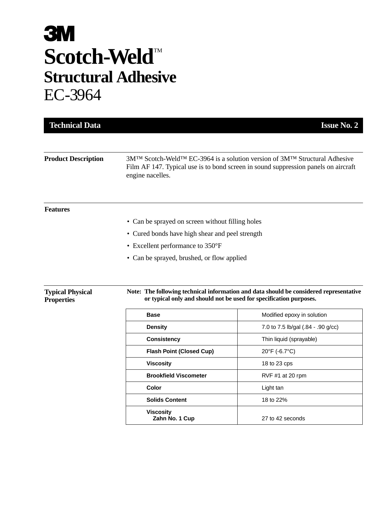# **3M** Scotch-Weld<sup>TM</sup> **Structural Adhesive** EC-3964

| <b>Technical Data</b>                        |                                                                                                                                                              | <b>Issue No. 2</b>                                                                                                                                                                       |  |  |
|----------------------------------------------|--------------------------------------------------------------------------------------------------------------------------------------------------------------|------------------------------------------------------------------------------------------------------------------------------------------------------------------------------------------|--|--|
|                                              |                                                                                                                                                              |                                                                                                                                                                                          |  |  |
| <b>Product Description</b>                   | engine nacelles.                                                                                                                                             | $3M^{TM}$ Scotch-Weld <sup>TM</sup> EC-3964 is a solution version of $3M^{TM}$ Structural Adhesive<br>Film AF 147. Typical use is to bond screen in sound suppression panels on aircraft |  |  |
| <b>Features</b>                              |                                                                                                                                                              |                                                                                                                                                                                          |  |  |
|                                              | • Can be sprayed on screen without filling holes                                                                                                             |                                                                                                                                                                                          |  |  |
|                                              | • Cured bonds have high shear and peel strength                                                                                                              |                                                                                                                                                                                          |  |  |
|                                              | • Excellent performance to 350°F                                                                                                                             |                                                                                                                                                                                          |  |  |
|                                              | • Can be sprayed, brushed, or flow applied                                                                                                                   |                                                                                                                                                                                          |  |  |
|                                              |                                                                                                                                                              |                                                                                                                                                                                          |  |  |
| <b>Typical Physical</b><br><b>Properties</b> | Note: The following technical information and data should be considered representative<br>or typical only and should not be used for specification purposes. |                                                                                                                                                                                          |  |  |
|                                              | <b>Base</b>                                                                                                                                                  | Modified epoxy in solution                                                                                                                                                               |  |  |

| <b>Base</b>                        | Modified epoxy in solution         |  |
|------------------------------------|------------------------------------|--|
| <b>Density</b>                     | 7.0 to 7.5 lb/gal (.84 - .90 g/cc) |  |
| <b>Consistency</b>                 | Thin liquid (sprayable)            |  |
| <b>Flash Point (Closed Cup)</b>    | $20^{\circ}$ F (-6.7 $^{\circ}$ C) |  |
| <b>Viscosity</b>                   | 18 to 23 cps                       |  |
| <b>Brookfield Viscometer</b>       | RVF $#1$ at 20 rpm                 |  |
| Color                              | Light tan                          |  |
| <b>Solids Content</b>              | 18 to 22%                          |  |
| <b>Viscosity</b><br>Zahn No. 1 Cup | 27 to 42 seconds                   |  |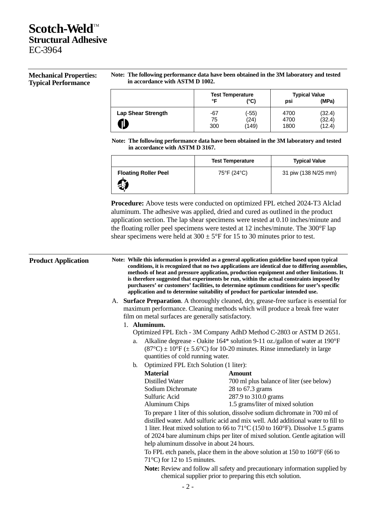## **Scotch-Weld™ Structural Adhesive** EC-3964

### **Mechanical Properties: Typical Performance**

#### **Note: The following performance data have been obtained in the 3M laboratory and tested in accordance with ASTM D 1002.**

|                                | ∘⊏               | <b>Test Temperature</b><br>(°C) | psi                  | <b>Typical Value</b><br>(MPa) |
|--------------------------------|------------------|---------------------------------|----------------------|-------------------------------|
| <b>Lap Shear Strength</b><br>⋔ | -67<br>75<br>300 | (-55)<br>(24)<br>(149)          | 4700<br>4700<br>1800 | (32.4)<br>(32.4)<br>(12.4)    |

**Note: The following performance data have been obtained in the 3M laboratory and tested in accordance with ASTM D 3167.**

|                                              | <b>Test Temperature</b> | <b>Typical Value</b> |
|----------------------------------------------|-------------------------|----------------------|
| <b>Floating Roller Peel</b><br>$\frac{1}{2}$ | 75°F (24°C)             | 31 piw (138 N/25 mm) |

**Procedure:** Above tests were conducted on optimized FPL etched 2024-T3 Alclad aluminum. The adhesive was applied, dried and cured as outlined in the product application section. The lap shear specimens were tested at 0.10 inches/minute and the floating roller peel specimens were tested at 12 inches/minute. The 300°F lap shear specimens were held at  $300 \pm 5^{\circ}$  F for 15 to 30 minutes prior to test.

## **Product Application Note: While this information is provided as a general application guideline based upon typical conditions, it is recognized that no two applications are identical due to differing assemblies, methods of heat and pressure application, production equipment and other limitations. It is therefore suggested that experiments be run, within the actual constraints imposed by purchasers' or customers' facilities, to determine optimum conditions for user's specific application and to determine suitability of product for particular intended use.** A. **Surface Preparation**. A thoroughly cleaned, dry, grease-free surface is essential for maximum performance. Cleaning methods which will produce a break free water film on metal surfaces are generally satisfactory. 1. **Aluminum.**  Optimized FPL Etch - 3M Company AdhD Method C-2803 or ASTM D 2651. a. Alkaline degrease - Oakite 164\* solution 9-11 oz./gallon of water at 190°F  $(87^{\circ}C) \pm 10^{\circ}F \ (\pm 5.6^{\circ}C)$  for 10-20 minutes. Rinse immediately in large quantities of cold running water. b. Optimized FPL Etch Solution (1 liter): **Material Amount** Distilled Water 700 ml plus balance of liter (see below) Sodium Dichromate 28 to 67.3 grams Sulfuric Acid 287.9 to 310.0 grams Aluminum Chips 1.5 grams/liter of mixed solution To prepare 1 liter of this solution, dissolve sodium dichromate in 700 ml of distilled water. Add sulfuric acid and mix well. Add additional water to fill to 1 liter. Heat mixed solution to 66 to 71°C (150 to 160°F). Dissolve 1.5 grams of 2024 bare aluminum chips per liter of mixed solution. Gentle agitation will help aluminum dissolve in about 24 hours. To FPL etch panels, place them in the above solution at 150 to 160°F (66 to 71 $^{\circ}$ C) for 12 to 15 minutes. **Note:** Review and follow all safety and precautionary information supplied by chemical supplier prior to preparing this etch solution.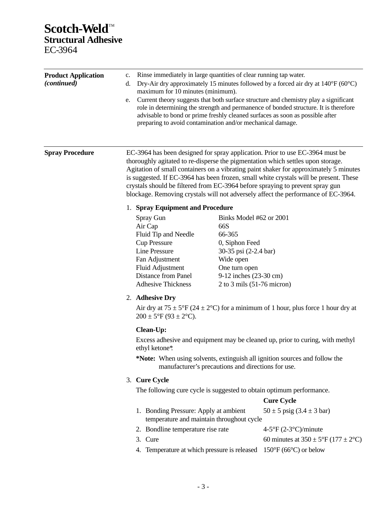# **Scotch-Weld™ Structural Adhesive** EC-3964

| <b>Product Application</b><br><i>(continued)</i> | Rinse immediately in large quantities of clear running tap water.<br>c.<br>Dry-Air dry approximately 15 minutes followed by a forced air dry at $140^{\circ}F(60^{\circ}C)$<br>d.<br>maximum for 10 minutes (minimum).<br>Current theory suggests that both surface structure and chemistry play a significant<br>e.<br>role in determining the strength and permanence of bonded structure. It is therefore<br>advisable to bond or prime freshly cleaned surfaces as soon as possible after<br>preparing to avoid contamination and/or mechanical damage. |                                                                                                                                                                               |                                                                                                                                                                                                                                                                                                                                                                                                                                                                                                                          |  |
|--------------------------------------------------|-------------------------------------------------------------------------------------------------------------------------------------------------------------------------------------------------------------------------------------------------------------------------------------------------------------------------------------------------------------------------------------------------------------------------------------------------------------------------------------------------------------------------------------------------------------|-------------------------------------------------------------------------------------------------------------------------------------------------------------------------------|--------------------------------------------------------------------------------------------------------------------------------------------------------------------------------------------------------------------------------------------------------------------------------------------------------------------------------------------------------------------------------------------------------------------------------------------------------------------------------------------------------------------------|--|
| <b>Spray Procedure</b>                           |                                                                                                                                                                                                                                                                                                                                                                                                                                                                                                                                                             |                                                                                                                                                                               | EC-3964 has been designed for spray application. Prior to use EC-3964 must be<br>thoroughly agitated to re-disperse the pigmentation which settles upon storage.<br>Agitation of small containers on a vibrating paint shaker for approximately 5 minutes<br>is suggested. If EC-3964 has been frozen, small white crystals will be present. These<br>crystals should be filtered from EC-3964 before spraying to prevent spray gun<br>blockage. Removing crystals will not adversely affect the performance of EC-3964. |  |
|                                                  | 1. Spray Equipment and Procedure                                                                                                                                                                                                                                                                                                                                                                                                                                                                                                                            |                                                                                                                                                                               |                                                                                                                                                                                                                                                                                                                                                                                                                                                                                                                          |  |
|                                                  | Spray Gun<br>Air Cap<br>Fluid Tip and Needle<br><b>Cup Pressure</b><br><b>Line Pressure</b><br>Fan Adjustment<br>Fluid Adjustment<br>Distance from Panel<br><b>Adhesive Thickness</b>                                                                                                                                                                                                                                                                                                                                                                       | Binks Model #62 or 2001<br>66S<br>66-365<br>0, Siphon Feed<br>30-35 psi (2-2.4 bar)<br>Wide open<br>One turn open<br>9-12 inches (23-30 cm)<br>$2$ to $3$ mils (51-76 micron) |                                                                                                                                                                                                                                                                                                                                                                                                                                                                                                                          |  |
|                                                  | 2. Adhesive Dry<br>Air dry at $75 \pm 5$ °F (24 $\pm$ 2°C) for a minimum of 1 hour, plus force 1 hour dry at<br>$200 \pm 5^{\circ}F (93 \pm 2^{\circ}C).$                                                                                                                                                                                                                                                                                                                                                                                                   |                                                                                                                                                                               |                                                                                                                                                                                                                                                                                                                                                                                                                                                                                                                          |  |
|                                                  | Clean-Up:<br>ethyl ketone*.                                                                                                                                                                                                                                                                                                                                                                                                                                                                                                                                 | manufacturer's precautions and directions for use.                                                                                                                            | Excess adhesive and equipment may be cleaned up, prior to curing, with methyl<br>*Note: When using solvents, extinguish all ignition sources and follow the                                                                                                                                                                                                                                                                                                                                                              |  |
|                                                  | 3. Cure Cycle                                                                                                                                                                                                                                                                                                                                                                                                                                                                                                                                               |                                                                                                                                                                               |                                                                                                                                                                                                                                                                                                                                                                                                                                                                                                                          |  |
|                                                  | The following cure cycle is suggested to obtain optimum performance.                                                                                                                                                                                                                                                                                                                                                                                                                                                                                        |                                                                                                                                                                               | <b>Cure Cycle</b>                                                                                                                                                                                                                                                                                                                                                                                                                                                                                                        |  |
|                                                  | 1. Bonding Pressure: Apply at ambient<br>temperature and maintain throughout cycle                                                                                                                                                                                                                                                                                                                                                                                                                                                                          |                                                                                                                                                                               | $50 \pm 5$ psig $(3.4 \pm 3$ bar)                                                                                                                                                                                                                                                                                                                                                                                                                                                                                        |  |
|                                                  | 2. Bondline temperature rise rate                                                                                                                                                                                                                                                                                                                                                                                                                                                                                                                           |                                                                                                                                                                               | $4-5$ °F (2-3°C)/minute                                                                                                                                                                                                                                                                                                                                                                                                                                                                                                  |  |
|                                                  | 3. Cure<br>4. Temperature at which pressure is released                                                                                                                                                                                                                                                                                                                                                                                                                                                                                                     |                                                                                                                                                                               | 60 minutes at $350 \pm 5^{\circ}F (177 \pm 2^{\circ}C)$<br>$150^{\circ}F(66^{\circ}C)$ or below                                                                                                                                                                                                                                                                                                                                                                                                                          |  |